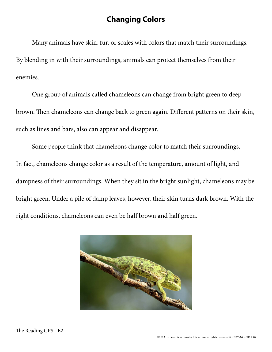## **Changing Colors**

Many animals have skin, fur, or scales with colors that match their surroundings. By blending in with their surroundings, animals can protect themselves from their enemies.

One group of animals called chameleons can change from bright green to deep brown. Then chameleons can change back to green again. Different patterns on their skin, such as lines and bars, also can appear and disappear.

Some people think that chameleons change color to match their surroundings. In fact, chameleons change color as a result of the temperature, amount of light, and dampness of their surroundings. When they sit in the bright sunlight, chameleons may be bright green. Under a pile of damp leaves, however, their skin turns dark brown. With the right conditions, chameleons can even be half brown and half green.